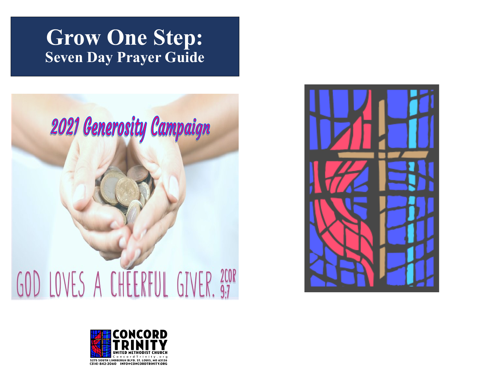# **Grow One Step: Seven Day Prayer Guide**





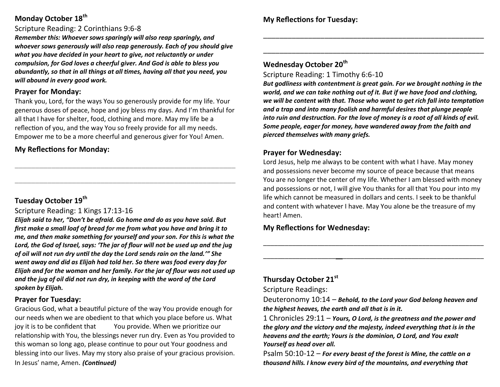# **Monday October 18th**

#### Scripture Reading: 2 Corinthians 9:6-8

*Remember this: Whoever sows sparingly will also reap sparingly, and whoever sows generously will also reap generously. Each of you should give what you have decided in your heart to give, not reluctantly or under compulsion, for God loves a cheerful giver. And God is able to bless you abundantly, so that in all things at all times, having all that you need, you will abound in every good work.*

#### **Prayer for Monday:**

Thank you, Lord, for the ways You so generously provide for my life. Your generous doses of peace, hope and joy bless my days. And I'm thankful for all that I have for shelter, food, clothing and more. May my life be a reflection of you, and the way You so freely provide for all my needs. Empower me to be a more cheerful and generous giver for You! Amen.

\_\_\_\_\_\_\_\_\_\_\_\_\_\_\_\_\_\_\_\_\_\_\_\_\_\_\_\_\_\_\_\_\_\_\_\_\_\_\_\_\_\_\_\_\_\_\_\_\_\_\_\_\_\_

\_\_\_\_\_\_\_\_\_\_\_\_\_\_\_\_\_\_\_\_\_\_\_\_\_\_\_\_\_\_\_\_\_\_\_\_\_\_\_\_\_\_\_\_\_\_\_\_\_\_\_\_\_\_

#### **My Reflections for Monday:**

# **Tuesday October 19th**

#### Scripture Reading: 1 Kings 17:13-16

*Elijah said to her, "Don't be afraid. Go home and do as you have said. But first make a small loaf of bread for me from what you have and bring it to me, and then make something for yourself and your son. For this is what the Lord, the God of Israel, says: 'The jar of flour will not be used up and the jug of oil will not run dry until the day the Lord sends rain on the land.'" She went away and did as Elijah had told her. So there was food every day for Elijah and for the woman and her family. For the jar of flour was not used up and the jug of oil did not run dry, in keeping with the word of the Lord spoken by Elijah.*

#### **Prayer for Tuesday:**

Gracious God, what a beautiful picture of the way You provide enough for our needs when we are obedient to that which you place before us. What joy it is to be confident that You provide. When we prioritize our relationship with You, the blessings never run dry. Even as You provided to this woman so long ago, please continue to pour out Your goodness and blessing into our lives. May my story also praise of your gracious provision. In Jesus' name, Amen. *(Continued)*

#### **Wednesday October 20th**

Scripture Reading: 1 Timothy 6:6-10

*But godliness with contentment is great gain. For we brought nothing in the world, and we can take nothing out of it. But if we have food and clothing, we will be content with that. Those who want to get rich fall into temptation and a trap and into many foolish and harmful desires that plunge people into ruin and destruction. For the love of money is a root of all kinds of evil. Some people, eager for money, have wandered away from the faith and pierced themselves with many griefs.*

\_\_\_\_\_\_\_\_\_\_\_\_\_\_\_\_\_\_\_\_\_\_\_\_\_\_\_\_\_\_\_\_\_\_\_\_\_\_\_\_\_\_\_\_\_\_\_\_\_\_\_\_\_\_

\_\_\_\_\_\_\_\_\_\_\_\_\_\_\_\_\_\_\_\_\_\_\_\_\_\_\_\_\_\_\_\_\_\_\_\_\_\_\_\_\_\_\_\_\_\_\_\_\_\_\_\_\_\_

### **Prayer for Wednesday:**

Lord Jesus, help me always to be content with what I have. May money and possessions never become my source of peace because that means You are no longer the center of my life. Whether I am blessed with money and possessions or not, I will give You thanks for all that You pour into my life which cannot be measured in dollars and cents. I seek to be thankful and content with whatever I have. May You alone be the treasure of my heart! Amen.

\_\_\_\_\_\_\_\_\_\_\_\_\_\_\_\_\_\_\_\_\_\_\_\_\_\_\_\_\_\_\_\_\_\_\_\_\_\_\_\_\_\_\_\_\_\_\_\_\_\_\_\_\_\_\_\_\_\_\_\_\_

\_\_\_\_\_\_\_\_\_\_\_\_\_\_\_\_\_\_\_\_\_\_\_\_\_\_\_\_\_\_\_\_\_\_\_\_\_\_\_\_\_\_\_\_\_\_\_\_\_\_\_\_\_\_\_\_\_\_\_\_\_

# **My Reflections for Wednesday:**

# **Thursday October 21st**

Scripture Readings:

Deuteronomy 10:14 – *Behold, to the Lord your God belong heaven and the highest heaves, the earth and all that is in it.*

1 Chronicles 29:11 – *Yours, O Lord, is the greatness and the power and the glory and the victory and the majesty, indeed everything that is in the heavens and the earth; Yours is the dominion, O Lord, and You exalt Yourself as head over all.*

Psalm 50:10-12 – *For every beast of the forest is Mine, the cattle on a thousand hills. I know every bird of the mountains, and everything that*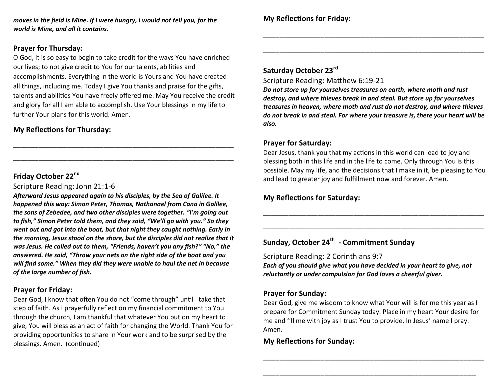*moves in the field is Mine. If I were hungry, I would not tell you, for the world is Mine, and all it contains.*

#### **Prayer for Thursday:**

O God, it is so easy to begin to take credit for the ways You have enriched our lives; to not give credit to You for our talents, abilities and accomplishments. Everything in the world is Yours and You have created all things, including me. Today I give You thanks and praise for the gifts, talents and abilities You have freely offered me. May You receive the credit and glory for all I am able to accomplish. Use Your blessings in my life to further Your plans for this world. Amen.

\_\_\_\_\_\_\_\_\_\_\_\_\_\_\_\_\_\_\_\_\_\_\_\_\_\_\_\_\_\_\_\_\_\_\_\_\_\_\_\_\_\_\_\_\_\_\_\_\_\_\_\_\_\_\_\_\_\_\_\_\_

\_\_\_\_\_\_\_\_\_\_\_\_\_\_\_\_\_\_\_\_\_\_\_\_\_\_\_\_\_\_\_\_\_\_\_\_\_\_\_\_\_\_\_\_\_\_\_\_\_\_\_\_\_\_\_\_\_\_\_\_\_

# **My Reflections for Thursday:**

# **Friday October 22nd**

Scripture Reading: John 21:1-6

*Afterward Jesus appeared again to his disciples, by the Sea of Galilee. It happened this way: Simon Peter, Thomas, Nathanael from Cana in Galilee, the sons of Zebedee, and two other disciples were together. "I'm going out to fish," Simon Peter told them, and they said, "We'll go with you." So they went out and got into the boat, but that night they caught nothing. Early in the morning, Jesus stood on the shore, but the disciples did not realize that it was Jesus. He called out to them, "Friends, haven't you any fish?" "No," the answered. He said, "Throw your nets on the right side of the boat and you will find some." When they did they were unable to haul the net in because of the large number of fish.*

# **Prayer for Friday:**

Dear God, I know that often You do not "come through" until I take that step of faith. As I prayerfully reflect on my financial commitment to You through the church, I am thankful that whatever You put on my heart to give, You will bless as an act of faith for changing the World. Thank You for providing opportunities to share in Your work and to be surprised by the blessings. Amen. (continued)

# **Saturday October 23rd**

Scripture Reading: Matthew 6:19-21

*Do not store up for yourselves treasures on earth, where moth and rust destroy, and where thieves break in and steal. But store up for yourselves treasures in heaven, where moth and rust do not destroy, and where thieves do not break in and steal. For where your treasure is, there your heart will be also.*

\_\_\_\_\_\_\_\_\_\_\_\_\_\_\_\_\_\_\_\_\_\_\_\_\_\_\_\_\_\_\_\_\_\_\_\_\_\_\_\_\_\_\_\_\_\_\_\_\_\_\_\_\_\_

\_\_\_\_\_\_\_\_\_\_\_\_\_\_\_\_\_\_\_\_\_\_\_\_\_\_\_\_\_\_\_\_\_\_\_\_\_\_\_\_\_\_\_\_\_\_\_\_\_\_\_\_\_\_

#### **Prayer for Saturday:**

Dear Jesus, thank you that my actions in this world can lead to joy and blessing both in this life and in the life to come. Only through You is this possible. May my life, and the decisions that I make in it, be pleasing to You and lead to greater joy and fulfillment now and forever. Amen.

\_\_\_\_\_\_\_\_\_\_\_\_\_\_\_\_\_\_\_\_\_\_\_\_\_\_\_\_\_\_\_\_\_\_\_\_\_\_\_\_\_\_\_\_\_\_\_\_\_\_\_\_\_\_\_\_\_\_\_\_\_

\_\_\_\_\_\_\_\_\_\_\_\_\_\_\_\_\_\_\_\_\_\_\_\_\_\_\_\_\_\_\_\_\_\_\_\_\_\_\_\_\_\_\_\_\_\_\_\_\_\_\_\_\_\_\_\_\_\_\_\_\_

# **My Reflections for Saturday:**

# **Sunday, October 24th - Commitment Sunday**

Scripture Reading: 2 Corinthians 9:7 *Each of you should give what you have decided in your heart to give, not reluctantly or under compulsion for God loves a cheerful giver.*

#### **Prayer for Sunday:**

Dear God, give me wisdom to know what Your will is for me this year as I prepare for Commitment Sunday today. Place in my heart Your desire for me and fill me with joy as I trust You to provide. In Jesus' name I pray. Amen.

\_\_\_\_\_\_\_\_\_\_\_\_\_\_\_\_\_\_\_\_\_\_\_\_\_\_\_\_\_\_\_\_\_\_\_\_\_\_\_\_\_\_\_\_\_\_\_\_\_\_\_\_\_\_

\_\_\_\_\_\_\_\_\_\_\_\_\_\_\_\_\_\_\_\_\_\_\_\_\_\_\_\_\_\_\_\_\_\_\_\_\_\_\_\_\_\_\_\_\_\_\_\_\_\_\_\_

#### **My Reflections for Sunday:**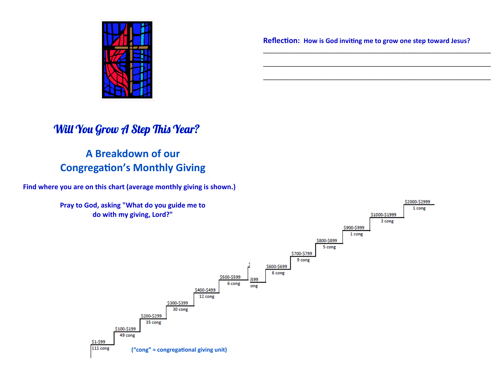

**Reflection: How is God inviting me to grow one step toward Jesus?**

\_\_\_\_\_\_\_\_\_\_\_\_\_\_\_\_\_\_\_\_\_\_\_\_\_\_\_\_\_\_\_\_\_\_\_\_\_\_\_\_\_\_\_\_\_\_\_\_\_\_\_\_\_\_\_\_\_\_\_\_\_\_\_

\_\_\_\_\_\_\_\_\_\_\_\_\_\_\_\_\_\_\_\_\_\_\_\_\_\_\_\_\_\_\_\_\_\_\_\_\_\_\_\_\_\_\_\_\_\_\_\_\_\_\_\_\_\_\_\_\_\_\_\_\_\_\_

\_\_\_\_\_\_\_\_\_\_\_\_\_\_\_\_\_\_\_\_\_\_\_\_\_\_\_\_\_\_\_\_\_\_\_\_\_\_\_\_\_\_\_\_\_\_\_\_\_\_\_\_\_\_\_\_\_\_\_\_\_\_\_

# **Will You Grow A Step This Year?**

# **A Breakdown of our Congregation's Monthly Giving**

**Find where you are on this chart (average monthly giving is shown.)**